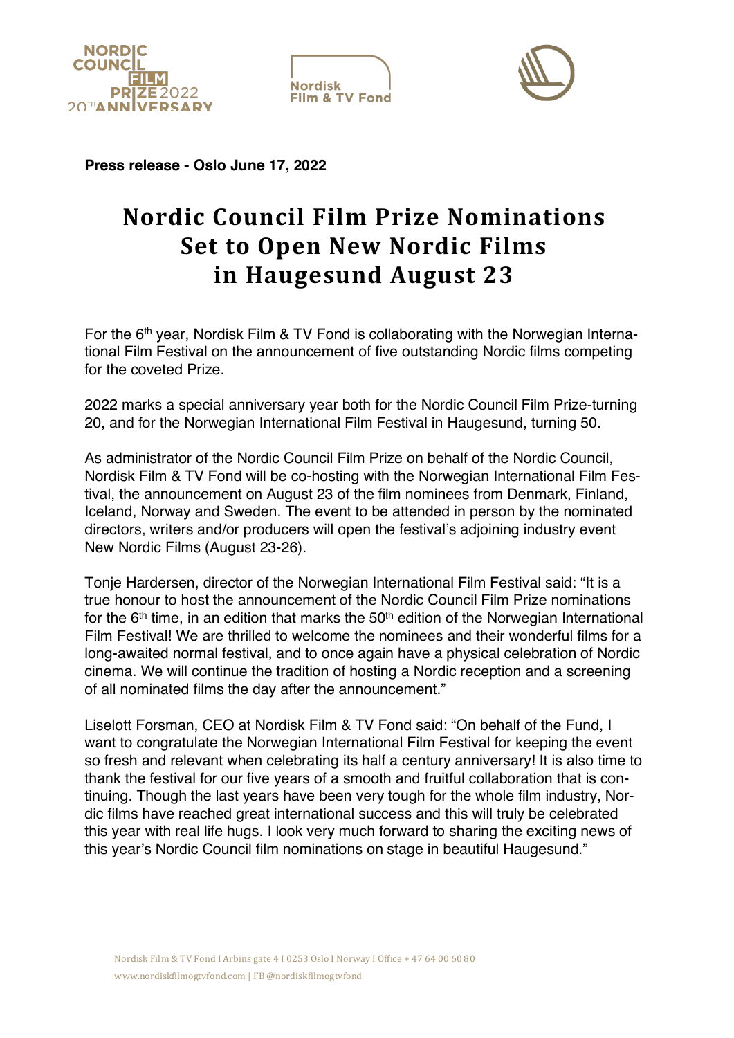





**Press release - Oslo June 17, 2022**

## **Nordic Council Film Prize Nominations Set to Open New Nordic Films in Haugesund August 23**

For the 6<sup>th</sup> year, Nordisk Film & TV Fond is collaborating with the Norwegian International Film Festival on the announcement of five outstanding Nordic films competing for the coveted Prize.

2022 marks a special anniversary year both for the Nordic Council Film Prize-turning 20, and for the Norwegian International Film Festival in Haugesund, turning 50.

As administrator of the Nordic Council Film Prize on behalf of the Nordic Council, Nordisk Film & TV Fond will be co-hosting with the Norwegian International Film Festival, the announcement on August 23 of the film nominees from Denmark, Finland, Iceland, Norway and Sweden. The event to be attended in person by the nominated directors, writers and/or producers will open the festival's adjoining industry event New Nordic Films (August 23-26).

Tonje Hardersen, director of the Norwegian International Film Festival said: "It is a true honour to host the announcement of the Nordic Council Film Prize nominations for the  $6<sup>th</sup>$  time, in an edition that marks the  $50<sup>th</sup>$  edition of the Norwegian International Film Festival! We are thrilled to welcome the nominees and their wonderful films for a long-awaited normal festival, and to once again have a physical celebration of Nordic cinema. We will continue the tradition of hosting a Nordic reception and a screening of all nominated films the day after the announcement."

Liselott Forsman, CEO at Nordisk Film & TV Fond said: "On behalf of the Fund, I want to congratulate the Norwegian International Film Festival for keeping the event so fresh and relevant when celebrating its half a century anniversary! It is also time to thank the festival for our five years of a smooth and fruitful collaboration that is continuing. Though the last years have been very tough for the whole film industry, Nordic films have reached great international success and this will truly be celebrated this year with real life hugs. I look very much forward to sharing the exciting news of this year's Nordic Council film nominations on stage in beautiful Haugesund."